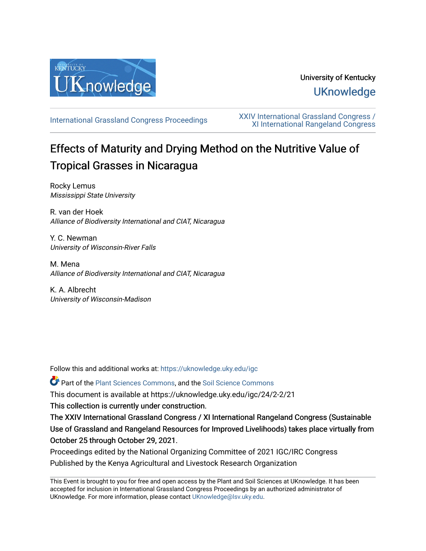

## University of Kentucky **UKnowledge**

[International Grassland Congress Proceedings](https://uknowledge.uky.edu/igc) [XXIV International Grassland Congress /](https://uknowledge.uky.edu/igc/24)  [XI International Rangeland Congress](https://uknowledge.uky.edu/igc/24) 

# Effects of Maturity and Drying Method on the Nutritive Value of Tropical Grasses in Nicaragua

Rocky Lemus Mississippi State University

R. van der Hoek Alliance of Biodiversity International and CIAT, Nicaragua

Y. C. Newman University of Wisconsin-River Falls

M. Mena Alliance of Biodiversity International and CIAT, Nicaragua

K. A. Albrecht University of Wisconsin-Madison

Follow this and additional works at: [https://uknowledge.uky.edu/igc](https://uknowledge.uky.edu/igc?utm_source=uknowledge.uky.edu%2Figc%2F24%2F2-2%2F21&utm_medium=PDF&utm_campaign=PDFCoverPages) 

Part of the [Plant Sciences Commons](http://network.bepress.com/hgg/discipline/102?utm_source=uknowledge.uky.edu%2Figc%2F24%2F2-2%2F21&utm_medium=PDF&utm_campaign=PDFCoverPages), and the [Soil Science Commons](http://network.bepress.com/hgg/discipline/163?utm_source=uknowledge.uky.edu%2Figc%2F24%2F2-2%2F21&utm_medium=PDF&utm_campaign=PDFCoverPages) 

This document is available at https://uknowledge.uky.edu/igc/24/2-2/21

This collection is currently under construction.

The XXIV International Grassland Congress / XI International Rangeland Congress (Sustainable Use of Grassland and Rangeland Resources for Improved Livelihoods) takes place virtually from October 25 through October 29, 2021.

Proceedings edited by the National Organizing Committee of 2021 IGC/IRC Congress Published by the Kenya Agricultural and Livestock Research Organization

This Event is brought to you for free and open access by the Plant and Soil Sciences at UKnowledge. It has been accepted for inclusion in International Grassland Congress Proceedings by an authorized administrator of UKnowledge. For more information, please contact [UKnowledge@lsv.uky.edu](mailto:UKnowledge@lsv.uky.edu).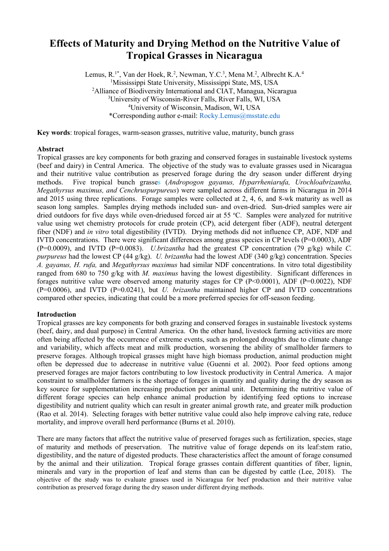### **Effects of Maturity and Drying Method on the Nutritive Value of Tropical Grasses in Nicaragua**

Lemus, R.<sup>1\*</sup>, Van der Hoek, R.<sup>2</sup>, Newman, Y.C.<sup>3</sup>, Mena M.<sup>2</sup>, Albrecht K.A.<sup>4</sup> 1 Mississippi State University, Mississippi State, MS, USA <sup>2</sup>Alliance of Biodiversity International and CIAT, Managua, Nicaragua 3 University of Wisconsin-River Falls, River Falls, WI, USA 4 University of Wisconsin, Madison, WI, USA \*Corresponding author e-mail: [Rocky.Lemus@msstate.edu](mailto:Rocky.Lemus@msstate.edu)

**Key words**: tropical forages, warm-season grasses, nutritive value, maturity, bunch grass

#### **Abstract**

Tropical grasses are key components for both grazing and conserved forages in sustainable livestock systems (beef and dairy) in Central America. The objective of the study was to evaluate grasses used in Nicaragua and their nutritive value contribution as preserved forage during the dry season under different drying<br>methods. Five tropical bunch grasses (Andropogon gavanus, Hyparrheniarufa, Urochloabrizantha, methods. Five tropical bunch grasses (*Andropogon gayanus, Hyparrheniarufa, Urochloabrizantha, Megathyrsus maximus, and Cenchruspurpureus*) were sampled across different farms in Nicaragua in 2014 and 2015 using three replications. Forage samples were collected at 2, 4, 6, and 8-wk maturity as well as season long samples. Samples drying methods included sun- and oven-dried. Sun-dried samples were air dried outdoors for five days while oven-driedused forced air at 55 °C. Samples were analyzed for nutritive value using wet chemistry protocols for crude protein (CP), acid detergent fiber (ADF), neutral detergent fiber (NDF) and *in vitro* total digestibility (IVTD). Drying methods did not influence CP, ADF, NDF and IVTD concentrations. There were significant differences among grass species in CP levels (P=0.0003), ADF (P=0.0009), and IVTD (P=0.0083). *U.brizantha* had the greatest CP concentration (79 g/kg) while *C. purpureus* had the lowest CP (44 g/kg). *U. brizantha* had the lowest ADF (340 g/kg) concentration. Species *A. gayanus, H. rufa,* and *Megathyrsus maximus* had similar NDF concentrations. In vitro total digestibility ranged from 680 to 750 g/kg with *M. maximus* having the lowest digestibility. Significant differences in forages nutritive value were observed among maturity stages for CP (P<0.0001), ADF (P=0.0022), NDF (P=0.0006), and IVTD (P=0.0241), but *U. brizantha* maintained higher CP and IVTD concentrations compared other species, indicating that could be a more preferred species for off-season feeding.

#### **Introduction**

Tropical grasses are key components for both grazing and conserved forages in sustainable livestock systems (beef, dairy, and dual purpose) in Central America. On the other hand, livestock farming activities are more often being affected by the occurrence of extreme events, such as prolonged droughts due to climate change and variability, which affects meat and milk production, worsening the ability of smallholder farmers to preserve forages. Although tropical grasses might have high biomass production, animal production might often be depressed due to adecrease in nutritive value (Guenni et al. 2002). Poor feed options among preserved forages are major factors contributing to low livestock productivity in Central America. A major constraint to smallholder farmers is the shortage of forages in quantity and quality during the dry season as key source for supplementation increasing production per animal unit. Determining the nutritive value of different forage species can help enhance animal production by identifying feed options to increase digestibility and nutrient quality which can result in greater animal growth rate, and greater milk production (Rao et al. 2014). Selecting forages with better nutritive value could also help improve calving rate, reduce mortality, and improve overall herd performance (Burns et al. 2010).

There are many factors that affect the nutritive value of preserved forages such as fertilization, species, stage of maturity and methods of preservation. The nutritive value of forage depends on its leaf:stem ratio, digestibility, and the nature of digested products. These characteristics affect the amount of forage consumed by the animal and their utilization. Tropical forage grasses contain different quantities of fiber, lignin, minerals and vary in the proportion of leaf and stems than can be digested by cattle (Lee, 2018). The objective of the study was to evaluate grasses used in Nicaragua for beef production and their nutritive value contribution as preserved forage during the dry season under different drying methods.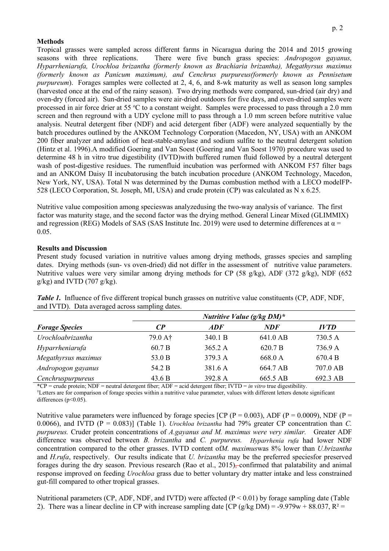#### **Methods**

Tropical grasses were sampled across different farms in Nicaragua during the 2014 and 2015 growing seasons with three replications. There were five bunch grass species: *Andropogon gayanus, Hyparrheniarufa, Urochloa brizantha (formerly known as Brachiaria brizantha), Megathyrsus maximus (formerly known as Panicum maximum), and Cenchrus purpureus(formerly known as Pennisetum purpureum*). Forages samples were collected at 2, 4, 6, and 8-wk maturity as well as season long samples (harvested once at the end of the rainy season). Two drying methods were compared, sun-dried (air dry) and oven-dry (forced air). Sun-dried samples were air-dried outdoors for five days, and oven-dried samples were processed in air force drier at 55 °C to a constant weight. Samples were processed to pass through a 2.0 mm screen and then reground with a UDY cyclone mill to pass through a 1.0 mm screen before nutritive value analysis. Neutral detergent fiber (NDF) and acid detergent fiber (ADF) were analyzed sequentially by the batch procedures outlined by the ANKOM Technology Corporation (Macedon, NY, USA) with an ANKOM 200 fiber analyzer and addition of heat-stable-amylase and sodium sulfite to the neutral detergent solution (Hintz et al. 1996).A modified Goering and Van Soest (Goering and Van Soest 1970) procedure was used to determine 48 h in vitro true digestibility (IVTD)with buffered rumen fluid followed by a neutral detergent wash of post-digestive residues. The rumenfluid incubation was performed with ANKOM F57 filter bags and an ANKOM Daisy II incubatorusing the batch incubation procedure (ANKOM Technology, Macedon, New York, NY, USA). Total N was determined by the Dumas combustion method with a LECO modelFP-528 (LECO Corporation, St. Joseph, MI, USA) and crude protein (CP) was calculated as N x 6.25.

Nutritive value composition among specieswas analyzedusing the two-way analysis of variance. The first factor was maturity stage, and the second factor was the drying method. General Linear Mixed (GLIMMIX) and regression (REG) Models of SAS (SAS Institute Inc. 2019) were used to determine differences at  $\alpha$  = 0.05.

#### **Results and Discussion**

Present study focused variation in nutritive values among drying methods, grasses species and sampling dates. Drying methods (sun- vs oven-dried) did not differ in the assessment of nutritive value parameters. Nutritive values were very similar among drying methods for CP (58 g/kg), ADF (372 g/kg), NDF (652  $g/kg$ ) and IVTD (707  $g/kg$ ).

*Nutritive Value (g/kg DM)\* Forage Species CP ADF NDF IVTD Urochloabrizantha* 79.0 A† 340.1 B 641.0 AB 730.5 A *Hyparrheniarufa* 60.7 B 365.2 A 620.7 B 736.9 A *Megathyrsus maximus* 53.0 B 379.3 A 668.0 A 670.4 B *Andropogon gayanus* 54.2 B 381.6 A 664.7 AB 707.0 AB *Cenchruspurpureus* 43.6 B 392.8 A 665.5 AB 692.3 AB

*Table 1.* Influence of five different tropical bunch grasses on nutritive value constituents (CP, ADF, NDF, and IVTD). Data averaged across sampling dates.

\*CP = crude protein; NDF = neutral detergent fiber; ADF = acid detergent fiber; IVTD = *in vitro* true digestibility.

†Letters are for comparison of forage species within a nutritive value parameter, values with different letters denote significant differences (p<0.05).

Nutritive value parameters were influenced by forage species [CP ( $P = 0.003$ ), ADF ( $P = 0.0009$ ), NDF ( $P = 0.0009$ ) 0.0066), and IVTD (P = 0.083)] (Table 1). *Urochloa brizantha* had 79% greater CP concentration than *C. purpureus.* Cruder protein concentrations of *A.gayanus and M. maximus were very similar.* Greater ADF difference was observed between *B. brizantha* and *C. purpureus. Hyparrhenia rufa* had lower NDF concentration compared to the other grasses. IVTD content of*M. maximus*was 8% lower than *U.brizantha* and *H.rufa*, respectively. Our results indicate that *U. brizantha* may be the preferred speciesfor preserved forages during the dry season. Previous research (Rao et al., 2015), confirmed that palatability and animal response improved on feeding *Urochloa* grass due to better voluntary dry matter intake and less constrained gut-fill compared to other tropical grasses.

Nutritional parameters (CP, ADF, NDF, and IVTD) were affected (P < 0.01) by forage sampling date (Table 2). There was a linear decline in CP with increase sampling date [CP (g/kg DM) = -9.979w + 88.037,  $R^2$  =